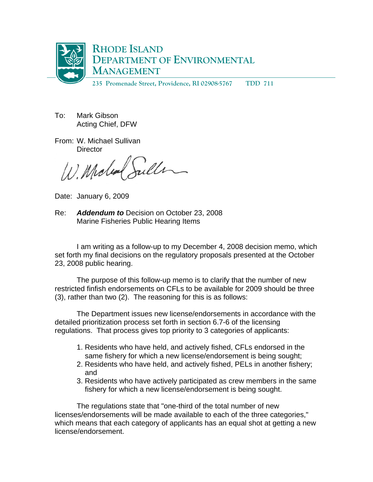

To: Mark Gibson Acting Chief, DFW

From: W. Michael Sullivan **Director** 

Julle W. Mola

Date: January 6, 2009

Re: *Addendum to* Decision on October 23, 2008 Marine Fisheries Public Hearing Items

 I am writing as a follow-up to my December 4, 2008 decision memo, which set forth my final decisions on the regulatory proposals presented at the October 23, 2008 public hearing.

 The purpose of this follow-up memo is to clarify that the number of new restricted finfish endorsements on CFLs to be available for 2009 should be three (3), rather than two (2). The reasoning for this is as follows:

 The Department issues new license/endorsements in accordance with the detailed prioritization process set forth in section 6.7-6 of the licensing regulations. That process gives top priority to 3 categories of applicants:

- 1. Residents who have held, and actively fished, CFLs endorsed in the same fishery for which a new license/endorsement is being sought;
- 2. Residents who have held, and actively fished, PELs in another fishery; and
- 3. Residents who have actively participated as crew members in the same fishery for which a new license/endorsement is being sought.

The regulations state that "one-third of the total number of new licenses/endorsements will be made available to each of the three categories," which means that each category of applicants has an equal shot at getting a new license/endorsement.